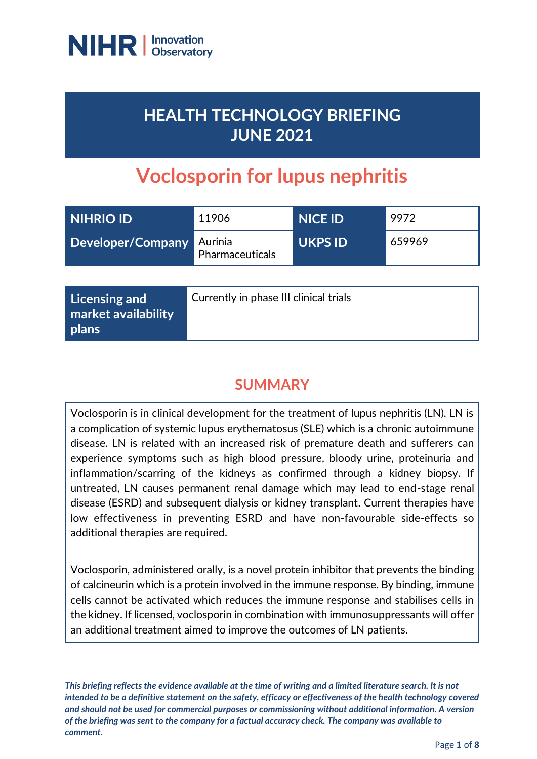

# **HEALTH TECHNOLOGY BRIEFING JUNE 2021**

# **Voclosporin for lupus nephritis**

| <b>NIHRIO ID'</b>         | 11906           | NICE ID        | 9972   |
|---------------------------|-----------------|----------------|--------|
| Developer/Company Aurinia | Pharmaceuticals | <b>UKPS ID</b> | 659969 |

| Licensing and<br>market availability<br>  plans | Currently in phase III clinical trials |
|-------------------------------------------------|----------------------------------------|
|-------------------------------------------------|----------------------------------------|

# **SUMMARY**

Voclosporin is in clinical development for the treatment of lupus nephritis (LN). LN is a complication of systemic lupus erythematosus (SLE) which is a chronic autoimmune disease. LN is related with an increased risk of premature death and sufferers can experience symptoms such as high blood pressure, bloody urine, proteinuria and inflammation/scarring of the kidneys as confirmed through a kidney biopsy. If untreated, LN causes permanent renal damage which may lead to end-stage renal disease (ESRD) and subsequent dialysis or kidney transplant. Current therapies have low effectiveness in preventing ESRD and have non-favourable side-effects so additional therapies are required.

Voclosporin, administered orally, is a novel protein inhibitor that prevents the binding of calcineurin which is a protein involved in the immune response. By binding, immune cells cannot be activated which reduces the immune response and stabilises cells in the kidney. If licensed, voclosporin in combination with immunosuppressants will offer an additional treatment aimed to improve the outcomes of LN patients.

*This briefing reflects the evidence available at the time of writing and a limited literature search. It is not intended to be a definitive statement on the safety, efficacy or effectiveness of the health technology covered and should not be used for commercial purposes or commissioning without additional information. A version of the briefing was sent to the company for a factual accuracy check. The company was available to comment.*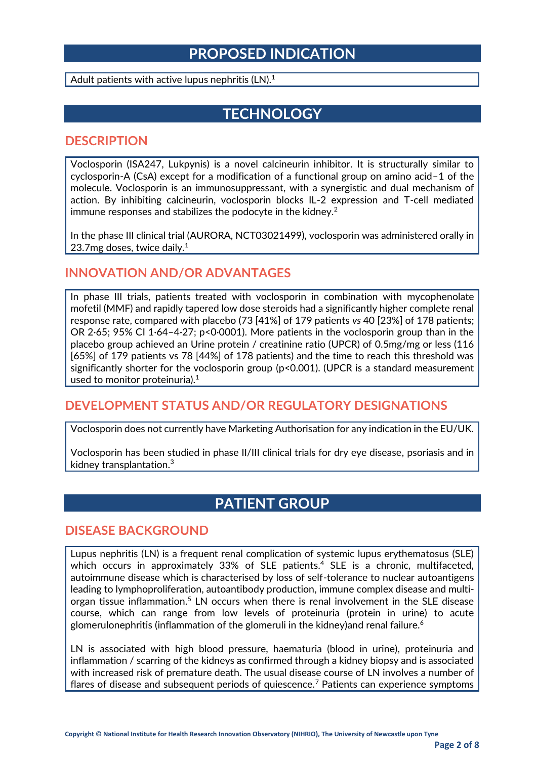## **PROPOSED INDICATION**

Adult patients with active lupus nephritis (LN).<sup>1</sup>

## **TECHNOLOGY**

#### **DESCRIPTION**

Voclosporin (ISA247, Lukpynis) is a novel calcineurin inhibitor. It is structurally similar to cyclosporin-A (CsA) except for a modification of a functional group on amino acid–1 of the molecule. Voclosporin is an immunosuppressant, with a synergistic and dual mechanism of action. By inhibiting calcineurin, voclosporin blocks IL-2 expression and T-cell mediated immune responses and stabilizes the podocyte in the kidney.<sup>2</sup>

In the phase III clinical trial (AURORA, NCT03021499), voclosporin was administered orally in 23.7mg doses, twice daily.<sup>1</sup>

#### **INNOVATION AND/OR ADVANTAGES**

In phase III trials, patients treated with voclosporin in combination with mycophenolate mofetil (MMF) and rapidly tapered low dose steroids had a significantly higher complete renal response rate, compared with placebo (73 [41%] of 179 patients *vs* 40 [23%] of 178 patients; OR 2·65; 95% CI 1·64–4·27; p<0·0001). More patients in the voclosporin group than in the placebo group achieved an Urine protein / creatinine ratio (UPCR) of 0.5mg/mg or less (116 [65%] of 179 patients vs 78 [44%] of 178 patients) and the time to reach this threshold was significantly shorter for the voclosporin group ( $p$ <0.001). (UPCR is a standard measurement used to monitor proteinuria).<sup>1</sup>

## **DEVELOPMENT STATUS AND/OR REGULATORY DESIGNATIONS**

Voclosporin does not currently have Marketing Authorisation for any indication in the EU/UK.

Voclosporin has been studied in phase II/III clinical trials for dry eye disease, psoriasis and in kidney transplantation.<sup>3</sup>

## **PATIENT GROUP**

#### **DISEASE BACKGROUND**

Lupus nephritis (LN) is a frequent renal complication of systemic lupus erythematosus (SLE) which occurs in approximately 33% of SLE patients.<sup>4</sup> SLE is a chronic, multifaceted, autoimmune disease which is characterised by loss of self-tolerance to nuclear autoantigens leading to lymphoproliferation, autoantibody production, immune complex disease and multiorgan tissue inflammation.<sup>5</sup> LN occurs when there is renal involvement in the SLE disease course, which can range from low levels of proteinuria (protein in urine) to acute glomerulonephritis (inflammation of the glomeruli in the kidney) and renal failure.<sup>6</sup>

LN is associated with high blood pressure, haematuria (blood in urine), proteinuria and inflammation / scarring of the kidneys as confirmed through a kidney biopsy and is associated with increased risk of premature death. The usual disease course of LN involves a number of flares of disease and subsequent periods of quiescence.<sup>7</sup> Patients can experience symptoms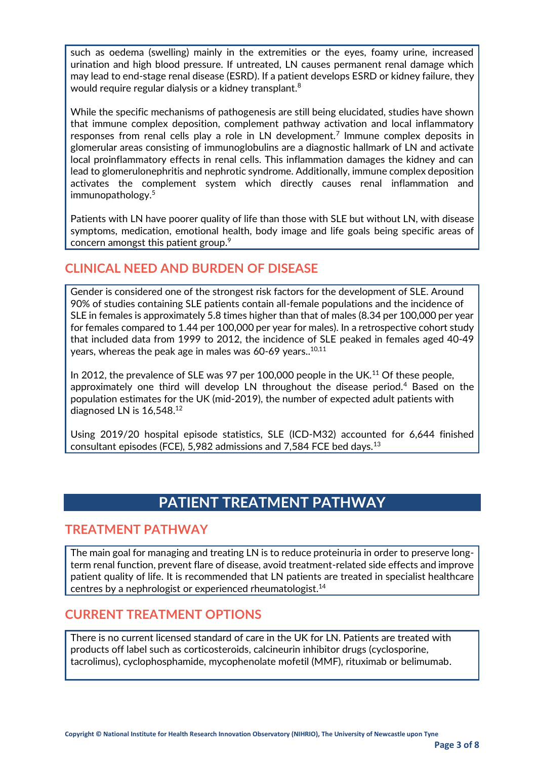such as oedema (swelling) mainly in the extremities or the eyes, foamy urine, increased urination and high blood pressure. If untreated, LN causes permanent renal damage which may lead to end-stage renal disease (ESRD). If a patient develops ESRD or kidney failure, they would require regular dialysis or a kidney transplant.<sup>8</sup>

While the specific mechanisms of pathogenesis are still being elucidated, studies have shown that immune complex deposition, complement pathway activation and local inflammatory responses from renal cells play a role in LN development.<sup>7</sup> Immune complex deposits in glomerular areas consisting of immunoglobulins are a diagnostic hallmark of LN and activate local proinflammatory effects in renal cells. This inflammation damages the kidney and can lead to glomerulonephritis and nephrotic syndrome. Additionally, immune complex deposition activates the complement system which directly causes renal inflammation and immunopathology. 5

Patients with LN have poorer quality of life than those with SLE but without LN, with disease symptoms, medication, emotional health, body image and life goals being specific areas of concern amongst this patient group. $^9$ 

## **CLINICAL NEED AND BURDEN OF DISEASE**

Gender is considered one of the strongest risk factors for the development of SLE. Around 90% of studies containing SLE patients contain all-female populations and the incidence of SLE in females is approximately 5.8 times higher than that of males (8.34 per 100,000 per year for females compared to 1.44 per 100,000 per year for males). In a retrospective cohort study that included data from 1999 to 2012, the incidence of SLE peaked in females aged 40-49 years, whereas the peak age in males was 60-69 years..<sup>10,11</sup>

In 2012, the prevalence of SLE was 97 per 100,000 people in the UK.<sup>11</sup> Of these people, approximately one third will develop LN throughout the disease period.<sup>4</sup> Based on the population estimates for the UK (mid-2019), the number of expected adult patients with diagnosed LN is 16,548.<sup>12</sup>

Using 2019/20 hospital episode statistics, SLE (ICD-M32) accounted for 6,644 finished consultant episodes (FCE), 5,982 admissions and 7,584 FCE bed days.<sup>13</sup>

## **PATIENT TREATMENT PATHWAY**

#### **TREATMENT PATHWAY**

The main goal for managing and treating LN is to reduce proteinuria in order to preserve longterm renal function, prevent flare of disease, avoid treatment-related side effects and improve patient quality of life. It is recommended that LN patients are treated in specialist healthcare centres by a nephrologist or experienced rheumatologist.<sup>14</sup>

#### **CURRENT TREATMENT OPTIONS**

There is no current licensed standard of care in the UK for LN. Patients are treated with products off label such as corticosteroids, calcineurin inhibitor drugs (cyclosporine, tacrolimus), cyclophosphamide, mycophenolate mofetil (MMF), rituximab or belimumab.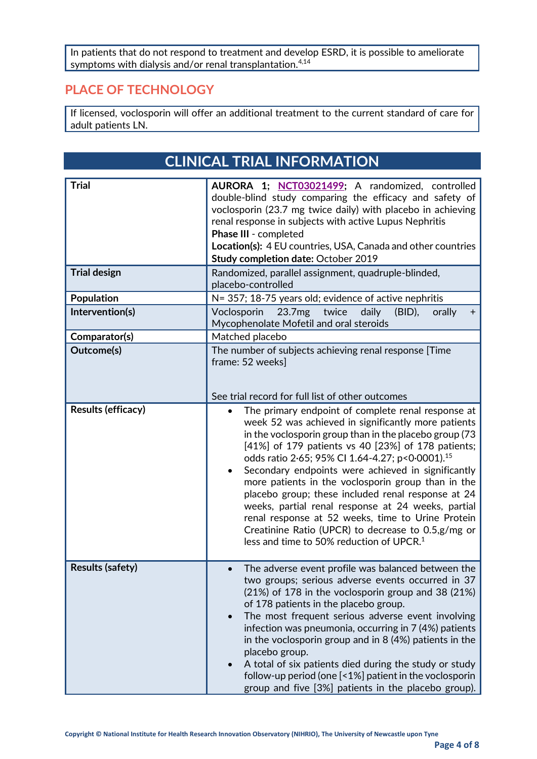In patients that do not respond to treatment and develop ESRD, it is possible to ameliorate symptoms with dialysis and/or renal transplantation. $^{\rm 4,14}$ 

## **PLACE OF TECHNOLOGY**

If licensed, voclosporin will offer an additional treatment to the current standard of care for adult patients LN.

|                         | <b>CLINICAL TRIAL INFORMATION</b>                                                                                                                                                                                                                                                                                                                                                                                                                                                                                                                                                                                                                                                   |  |
|-------------------------|-------------------------------------------------------------------------------------------------------------------------------------------------------------------------------------------------------------------------------------------------------------------------------------------------------------------------------------------------------------------------------------------------------------------------------------------------------------------------------------------------------------------------------------------------------------------------------------------------------------------------------------------------------------------------------------|--|
| <b>Trial</b>            | AURORA 1; NCT03021499; A randomized, controlled<br>double-blind study comparing the efficacy and safety of<br>voclosporin (23.7 mg twice daily) with placebo in achieving                                                                                                                                                                                                                                                                                                                                                                                                                                                                                                           |  |
|                         | renal response in subjects with active Lupus Nephritis<br>Phase III - completed                                                                                                                                                                                                                                                                                                                                                                                                                                                                                                                                                                                                     |  |
|                         | Location(s): 4 EU countries, USA, Canada and other countries<br>Study completion date: October 2019                                                                                                                                                                                                                                                                                                                                                                                                                                                                                                                                                                                 |  |
| <b>Trial design</b>     | Randomized, parallel assignment, quadruple-blinded,<br>placebo-controlled                                                                                                                                                                                                                                                                                                                                                                                                                                                                                                                                                                                                           |  |
| Population              | N= 357; 18-75 years old; evidence of active nephritis                                                                                                                                                                                                                                                                                                                                                                                                                                                                                                                                                                                                                               |  |
| Intervention(s)         | Voclosporin<br>twice<br>daily<br>23.7mg<br>$(BID)$ ,<br>orally<br>$\pm$<br>Mycophenolate Mofetil and oral steroids                                                                                                                                                                                                                                                                                                                                                                                                                                                                                                                                                                  |  |
| Comparator(s)           | Matched placebo                                                                                                                                                                                                                                                                                                                                                                                                                                                                                                                                                                                                                                                                     |  |
| Outcome(s)              | The number of subjects achieving renal response [Time<br>frame: 52 weeks]                                                                                                                                                                                                                                                                                                                                                                                                                                                                                                                                                                                                           |  |
|                         | See trial record for full list of other outcomes                                                                                                                                                                                                                                                                                                                                                                                                                                                                                                                                                                                                                                    |  |
| Results (efficacy)      | The primary endpoint of complete renal response at<br>week 52 was achieved in significantly more patients<br>in the voclosporin group than in the placebo group (73<br>[41%] of 179 patients vs 40 [23%] of 178 patients;<br>odds ratio 2.65; 95% CI 1.64-4.27; p<0.0001). <sup>15</sup><br>Secondary endpoints were achieved in significantly<br>more patients in the voclosporin group than in the<br>placebo group; these included renal response at 24<br>weeks, partial renal response at 24 weeks, partial<br>renal response at 52 weeks, time to Urine Protein<br>Creatinine Ratio (UPCR) to decrease to 0.5,g/mg or<br>less and time to 50% reduction of UPCR. <sup>1</sup> |  |
| <b>Results (safety)</b> | The adverse event profile was balanced between the<br>two groups; serious adverse events occurred in 37<br>(21%) of 178 in the voclosporin group and 38 (21%)<br>of 178 patients in the placebo group.<br>The most frequent serious adverse event involving<br>infection was pneumonia, occurring in 7 (4%) patients<br>in the voclosporin group and in 8 (4%) patients in the<br>placebo group.<br>A total of six patients died during the study or study<br>follow-up period (one [<1%] patient in the voclosporin<br>group and five [3%] patients in the placebo group).                                                                                                         |  |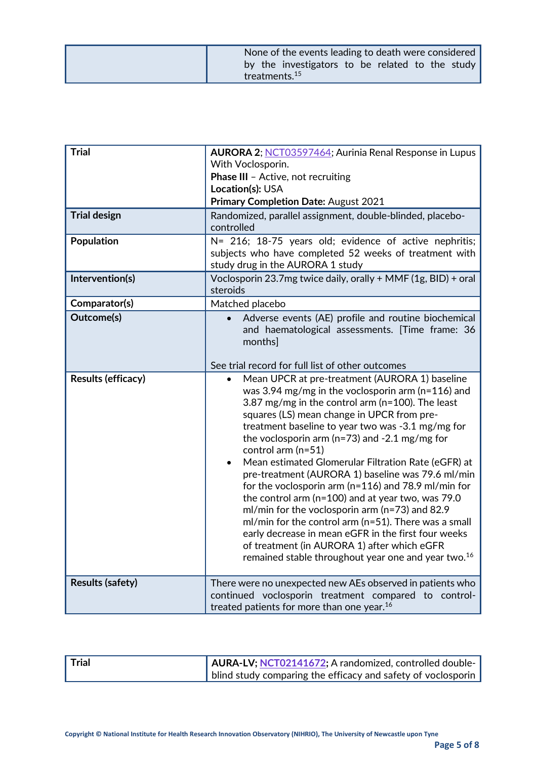|  | treatments. <sup>15</sup> |  |  | by the investigators to be related to the study |
|--|---------------------------|--|--|-------------------------------------------------|

| <b>Trial</b>            | AURORA 2; NCT03597464; Aurinia Renal Response in Lupus<br>With Voclosporin.<br>Phase III - Active, not recruiting<br>Location(s): USA<br>Primary Completion Date: August 2021                                                                                                                                                                                                                                                                                                                                                                                                                                                                                                                                                                                                                                                                                                              |
|-------------------------|--------------------------------------------------------------------------------------------------------------------------------------------------------------------------------------------------------------------------------------------------------------------------------------------------------------------------------------------------------------------------------------------------------------------------------------------------------------------------------------------------------------------------------------------------------------------------------------------------------------------------------------------------------------------------------------------------------------------------------------------------------------------------------------------------------------------------------------------------------------------------------------------|
| <b>Trial design</b>     | Randomized, parallel assignment, double-blinded, placebo-<br>controlled                                                                                                                                                                                                                                                                                                                                                                                                                                                                                                                                                                                                                                                                                                                                                                                                                    |
| Population              | N= 216; 18-75 years old; evidence of active nephritis;<br>subjects who have completed 52 weeks of treatment with<br>study drug in the AURORA 1 study                                                                                                                                                                                                                                                                                                                                                                                                                                                                                                                                                                                                                                                                                                                                       |
| Intervention(s)         | Voclosporin 23.7mg twice daily, orally + MMF (1g, BID) + oral<br>steroids                                                                                                                                                                                                                                                                                                                                                                                                                                                                                                                                                                                                                                                                                                                                                                                                                  |
| Comparator(s)           | Matched placebo                                                                                                                                                                                                                                                                                                                                                                                                                                                                                                                                                                                                                                                                                                                                                                                                                                                                            |
| Outcome(s)              | Adverse events (AE) profile and routine biochemical<br>and haematological assessments. [Time frame: 36<br>months]<br>See trial record for full list of other outcomes                                                                                                                                                                                                                                                                                                                                                                                                                                                                                                                                                                                                                                                                                                                      |
| Results (efficacy)      | Mean UPCR at pre-treatment (AURORA 1) baseline<br>$\bullet$<br>was 3.94 mg/mg in the voclosporin arm ( $n=116$ ) and<br>3.87 mg/mg in the control arm ( $n=100$ ). The least<br>squares (LS) mean change in UPCR from pre-<br>treatment baseline to year two was -3.1 mg/mg for<br>the voclosporin arm ( $n=73$ ) and $-2.1$ mg/mg for<br>control arm $(n=51)$<br>Mean estimated Glomerular Filtration Rate (eGFR) at<br>$\bullet$<br>pre-treatment (AURORA 1) baseline was 79.6 ml/min<br>for the voclosporin arm ( $n=116$ ) and 78.9 ml/min for<br>the control arm (n=100) and at year two, was 79.0<br>ml/min for the voclosporin arm (n=73) and 82.9<br>ml/min for the control arm (n=51). There was a small<br>early decrease in mean eGFR in the first four weeks<br>of treatment (in AURORA 1) after which eGFR<br>remained stable throughout year one and year two. <sup>16</sup> |
| <b>Results (safety)</b> | There were no unexpected new AEs observed in patients who<br>continued voclosporin treatment compared to control-<br>treated patients for more than one year. <sup>16</sup>                                                                                                                                                                                                                                                                                                                                                                                                                                                                                                                                                                                                                                                                                                                |

| $\blacksquare$ Trial | AURA-LV; NCT02141672; A randomized, controlled double-       |  |
|----------------------|--------------------------------------------------------------|--|
|                      | blind study comparing the efficacy and safety of voclosporin |  |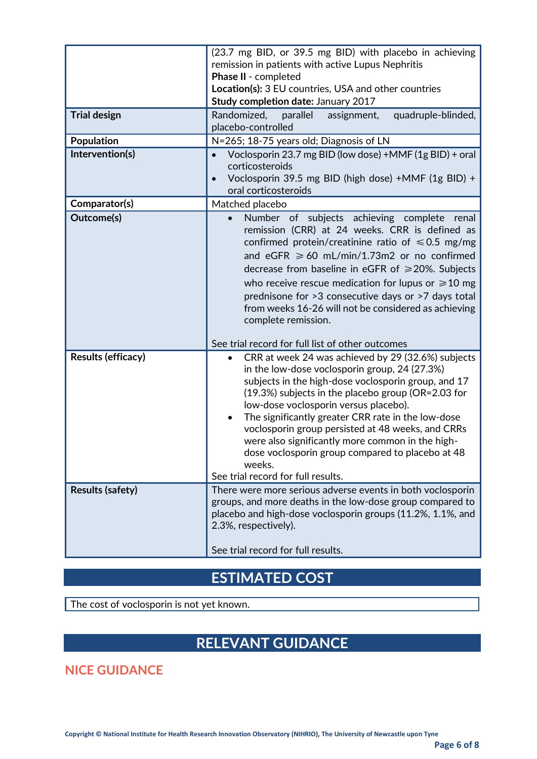| Randomized,<br>parallel<br>quadruple-blinded,<br>assignment,<br>placebo-controlled<br>N=265; 18-75 years old; Diagnosis of LN<br>Voclosporin 23.7 mg BID (low dose) +MMF (1g BID) + oral                                                                                                                                                                                                                                                                                                                                               |  |
|----------------------------------------------------------------------------------------------------------------------------------------------------------------------------------------------------------------------------------------------------------------------------------------------------------------------------------------------------------------------------------------------------------------------------------------------------------------------------------------------------------------------------------------|--|
|                                                                                                                                                                                                                                                                                                                                                                                                                                                                                                                                        |  |
|                                                                                                                                                                                                                                                                                                                                                                                                                                                                                                                                        |  |
| $\bullet$<br>corticosteroids<br>Voclosporin 39.5 mg BID (high dose) +MMF (1g BID) +<br>oral corticosteroids                                                                                                                                                                                                                                                                                                                                                                                                                            |  |
| Matched placebo                                                                                                                                                                                                                                                                                                                                                                                                                                                                                                                        |  |
| Number of subjects achieving complete<br>renal<br>$\bullet$<br>remission (CRR) at 24 weeks. CRR is defined as<br>confirmed protein/creatinine ratio of $\leq 0.5$ mg/mg<br>and eGFR $\geq 60$ mL/min/1.73m2 or no confirmed<br>decrease from baseline in eGFR of $\geq$ 20%. Subjects<br>who receive rescue medication for lupus or $\geq 10$ mg<br>prednisone for >3 consecutive days or >7 days total<br>from weeks 16-26 will not be considered as achieving<br>complete remission.                                                 |  |
| See trial record for full list of other outcomes                                                                                                                                                                                                                                                                                                                                                                                                                                                                                       |  |
| CRR at week 24 was achieved by 29 (32.6%) subjects<br>٠<br>in the low-dose voclosporin group, 24 (27.3%)<br>subjects in the high-dose voclosporin group, and 17<br>(19.3%) subjects in the placebo group (OR=2.03 for<br>low-dose voclosporin versus placebo).<br>The significantly greater CRR rate in the low-dose<br>٠<br>voclosporin group persisted at 48 weeks, and CRRs<br>were also significantly more common in the high-<br>dose voclosporin group compared to placebo at 48<br>weeks.<br>See trial record for full results. |  |
| There were more serious adverse events in both voclosporin                                                                                                                                                                                                                                                                                                                                                                                                                                                                             |  |
| groups, and more deaths in the low-dose group compared to<br>placebo and high-dose voclosporin groups (11.2%, 1.1%, and<br>2.3%, respectively).<br>See trial record for full results.                                                                                                                                                                                                                                                                                                                                                  |  |
|                                                                                                                                                                                                                                                                                                                                                                                                                                                                                                                                        |  |

## **ESTIMATED COST**

The cost of voclosporin is not yet known.

# **RELEVANT GUIDANCE**

**NICE GUIDANCE**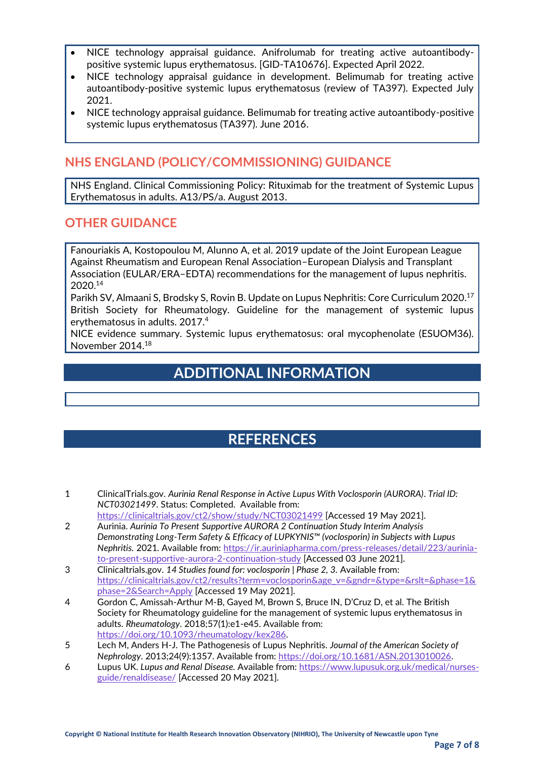- NICE technology appraisal guidance. Anifrolumab for treating active autoantibodypositive systemic lupus erythematosus. [GID-TA10676]. Expected April 2022.
- NICE technology appraisal guidance in development. Belimumab for treating active autoantibody-positive systemic lupus erythematosus (review of TA397). Expected July 2021.
- NICE technology appraisal guidance. Belimumab for treating active autoantibody-positive systemic lupus erythematosus (TA397). June 2016.

## **NHS ENGLAND (POLICY/COMMISSIONING) GUIDANCE**

• NHS England. Clinical Commissioning Policy: Rituximab for the treatment of Systemic Lupus Erythematosus in adults. A13/PS/a. August 2013.

#### **OTHER GUIDANCE**

• Fanouriakis A, Kostopoulou M, Alunno A, et al. 2019 update of the Joint European League Against Rheumatism and European Renal Association–European Dialysis and Transplant Association (EULAR/ERA–EDTA) recommendations for the management of lupus nephritis. 2020.<sup>14</sup>

**Parikh SV, Almaani S, Brodsky S, Rovin B. Update on Lupus Nephritis: Core Curriculum 2020.**<sup>17</sup> British Society for Rheumatology. Guideline for the management of systemic lupus erythematosus in adults. 2017.<sup>4</sup>

• NICE evidence summary. Systemic lupus erythematosus: oral mycophenolate (ESUOM36). November 2014.<sup>18</sup>

## **ADDITIONAL INFORMATION**

## **REFERENCES**

- 1 ClinicalTrials.gov. *Aurinia Renal Response in Active Lupus With Voclosporin (AURORA)*. *Trial ID: NCT03021499*. Status: Completed. Available from:
- <https://clinicaltrials.gov/ct2/show/study/NCT03021499> [Accessed 19 May 2021]. 2 Aurinia. *Aurinia To Present Supportive AURORA 2 Continuation Study Interim Analysis*
- *Demonstrating Long-Term Safety & Efficacy of LUPKYNIS™ (voclosporin) in Subjects with Lupus Nephritis.* 2021. Available from[: https://ir.auriniapharma.com/press-releases/detail/223/aurinia](https://ir.auriniapharma.com/press-releases/detail/223/aurinia-to-present-supportive-aurora-2-continuation-study)[to-present-supportive-aurora-2-continuation-study](https://ir.auriniapharma.com/press-releases/detail/223/aurinia-to-present-supportive-aurora-2-continuation-study) [Accessed 03 June 2021].
- 3 Clinicaltrials.gov. *14 Studies found for: voclosporin | Phase 2, 3.* Available from: [https://clinicaltrials.gov/ct2/results?term=voclosporin&age\\_v=&gndr=&type=&rslt=&phase=1&](https://clinicaltrials.gov/ct2/results?term=voclosporin&age_v=&gndr=&type=&rslt=&phase=1&phase=2&Search=Apply) [phase=2&Search=Apply](https://clinicaltrials.gov/ct2/results?term=voclosporin&age_v=&gndr=&type=&rslt=&phase=1&phase=2&Search=Apply) [Accessed 19 May 2021].
- 4 Gordon C, Amissah-Arthur M-B, Gayed M, Brown S, Bruce IN, D'Cruz D, et al. The British Society for Rheumatology guideline for the management of systemic lupus erythematosus in adults. *Rheumatology*. 2018;57(1):e1-e45. Available from: [https://doi.org/10.1093/rheumatology/kex286.](https://doi.org/10.1093/rheumatology/kex286)
- 5 Lech M, Anders H-J. The Pathogenesis of Lupus Nephritis. *Journal of the American Society of Nephrology*. 2013;24(9):1357. Available from: [https://doi.org/10.1681/ASN.2013010026.](https://doi.org/10.1681/ASN.2013010026)
- 6 Lupus UK. *Lupus and Renal Disease.* Available from: [https://www.lupusuk.org.uk/medical/nurses](https://www.lupusuk.org.uk/medical/nurses-guide/renaldisease/)[guide/renaldisease/](https://www.lupusuk.org.uk/medical/nurses-guide/renaldisease/) [Accessed 20 May 2021].